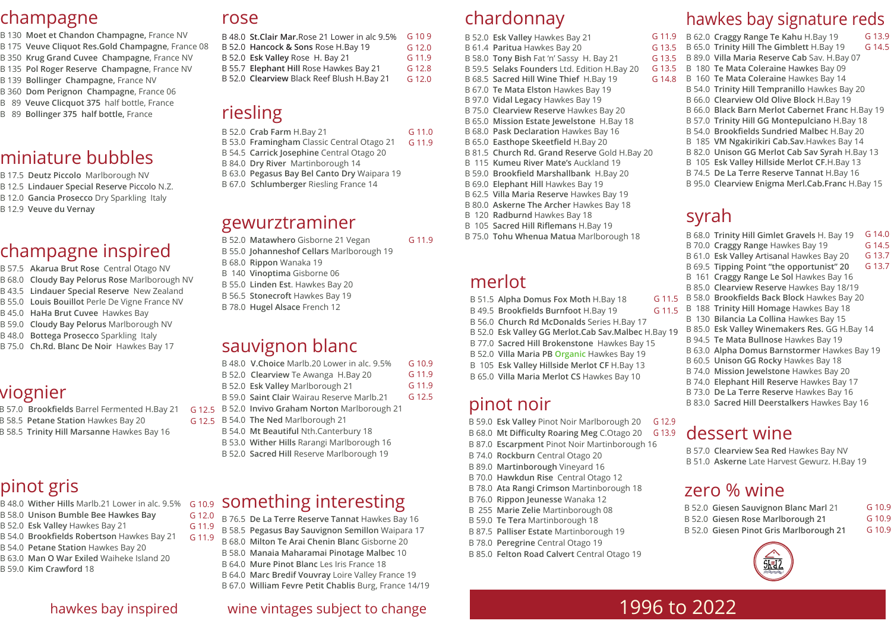### hawkes bay inspired

### champagne

B 130 **Moet et Chandon Champagne,** France NV B 175 **Veuve Cliquot Res.Gold Champagne**, France 08 B 350 **Krug Grand Cuvee Champagne**, France NV B 135 **Pol Roger Reserve Champagne**, France NV B 139 **Bollinger Champagne,** France NV B 360 **Dom Perignon Champagne**, France 06 B 89 **Veuve Clicquot 375** half bottle, France B 89 **Bollinger 375 half bottle,** France

### miniature bubbles

B 17.5 **Deutz Piccolo** Marlborough NV B 12.5 **Lindauer Special Reserve** Piccolo N.Z. B 12.0 **Gancia Prosecco** Dry Sparkling Italy B 12.9 **Veuve du Vernay** 

### champagne inspired

- B 57.5 **Akarua Brut Rose** Central Otago NV
- B 68.0 **Cloudy Bay Pelorus Rose** Marlborough NV
- B 43.5 **Lindauer Special Reserve** New Zealand
- B 55.0 **Louis Bouillot** Perle De Vigne France NV
- B 45.0 **HaHa Brut Cuvee** Hawkes Bay
- B 59.0 **Cloudy Bay Pelorus** Marlborough NV
- B 48.0 **Bottega Prosecco** Sparkling Italy
- B 75.0 **Ch.Rd. Blanc De Noir** Hawkes Bay 17

### viognier

- B 57.0 **Brookfields** Barrel Fermented H.Bay 21
- B 58.5 **Petane Station** Hawkes Bay 20
- B 58.5 **Trinity Hill Marsanne** Hawkes Bay 16
- B 52.0 Matawhero Gisborne 21 Vegan G 11.9
- B 55.0 **Johanneshof Cellars** Marlborough 19
- B 68.0 **Rippon** Wanaka 19
- B 140 **Vinoptima** Gisborne 06
- B 55.0 **Linden Est**. Hawkes Bay 20
- B 56.5 **Stonecroft** Hawkes Bay 19
- B 78.0 **Hugel Alsace** French 12

## pinot gris

- B 48.0 **Wither Hills** Marlb.21 Lower in alc. 9.5%
- B 58.0 **Unison Bumble Bee Hawkes Bay**
- B 52.0 **Esk Valley** Hawkes Bay 21
- B 54.0 **Brookfields Robertson** Hawkes Bay 21 G 11.9
- B 54.0 **Petane Station** Hawkes Bay 20
- B 63.0 **Man O War Exiled** Waiheke Island 20
- B 59.0 **Kim Crawford** 18

### rose

### riesling

- B 53.0 **Framingham** Classic Central Otago 21 G 11.9
- B 54.5 **Carrick Josephine** Central Otago 20
- B 84.0 **Dry River** Martinborough 14
- B 63.0 **Pegasus Bay Bel Canto Dry** Waipara 19
- B 67.0 **Schlumberger** Riesling France 14

### gewurztraminer

### sauvignon blanc

- B 48.0 **V.Choice** Marlb.20 Lower in alc. 9.5% B 52.0 **Clearview** Te Awanga H.Bay 20 B 52.0 **Esk Valley** Marlborough 21 B 59.0 **Saint Clair** Wairau Reserve Marlb.21 B 52.0 **Invivo Graham Norton** Marlborough 21 G 12.5 G 10.9 G 11.9 G 11.9 G 12.5
- B 54.0 **The Ned** Marlborough 21 G 12.5
	- B 54.0 **Mt Beautiful** Nth.Canterbury 18
	- B 53.0 **Wither Hills** Rarangi Marlborough 16
	- B 52.0 **Sacred Hill** Reserve Marlborough 19

- B 76.5 **De La Terre Reserve Tannat** Hawkes Bay 16 G 12.0 G 11.9
	- B 58.5 **Pegasus Bay Sauvignon Semillon** Waipara 17
	- B 68.0 **Milton Te Arai Chenin Blanc** Gisborne 20
	- B 58.0 **Manaia Maharamai Pinotage Malbec** 10
	- B 64.0 **Mure Pinot Blanc** Les Iris France 18
	- B 64.0 **Marc Bredif Vouvray** Loire Valley France 19
	- B 67.0 **William Fevre Petit Chablis** Burg, France 14/19

### chardonnay

| B 48.0 St. Clair Mar. Rose 21 Lower in alc 9.5% | G 109  |
|-------------------------------------------------|--------|
| B 52.0 Hancock & Sons Rose H.Bay 19             | G 12.0 |
| B 52.0 Esk Valley Rose H. Bay 21                | G 11.9 |
| B 55.7 Elephant Hill Rose Hawkes Bay 21         | G 12.8 |
| B 52.0 Clearview Black Reef Blush H.Bay 21      | G 12.0 |

- B 52.0 **Esk Valley** Hawkes Bay 21 B 61.4 **Paritua** Hawkes Bay 20 B 58.0 **Tony Bish** Fat 'n' Sassy H. Bay 21 B 59.5 **Selaks Founders** Ltd. Edition H.Bay 20 B 68.5 **Sacred Hill Wine Thief** H.Bay 19 B 67.0 **Te Mata Elston** Hawkes Bay 19 B 97.0 **Vidal Legacy** Hawkes Bay 19 B 75.0 **Clearview Reserve** Hawkes Bay 20 B 65.0 **Mission Estate Jewelstone** H.Bay 18 B 68.0 **Pask Declaration** Hawkes Bay 16 B 65.0 **Easthope Skeetfield** H.Bay 20 B 81.5 **Church Rd. Grand Reserve** Gold H.Bay 20 B 115 **Kumeu River Mate's** Auckland 19 B 59.0 **Brookfield Marshallbank** H.Bay 20 B 69.0 **Elephant Hill** Hawkes Bay 19 G 11.9 G 13.5 G 13.5 G 13.5 G 14.8
- B 62.5 **Villa Maria Reserve** Hawkes Bay 19
- B 80.0 **Askerne The Archer** Hawkes Bay 18
- B 120 **Radburnd** Hawkes Bay 18
- B 105 **Sacred Hill Riflemans** H.Bay 19

### something interesting G 10.9

| B 52.0 Crab Farm H.Bay 21 | G 11.0 |
|---------------------------|--------|
|---------------------------|--------|

B 75.0 **Tohu Whenua Matua** Marlborough 18

|  | B 62.0 Craggy Range Te Kahu H.Bay 19             | G 13.9 |
|--|--------------------------------------------------|--------|
|  | B 65.0 Trinity Hill The Gimblett H.Bay 19        | G 14.5 |
|  | B 89.0 Villa Maria Reserve Cab Sav. H.Bay 07     |        |
|  | B 180 Te Mata Coleraine Hawkes Bay 09            |        |
|  | B 160 Te Mata Coleraine Hawkes Bay 14            |        |
|  | B 54.0 Trinity Hill Tempranillo Hawkes Bay 20    |        |
|  | B 66.0 Clearview Old Olive Block H.Bay 19        |        |
|  | B 66.0 Black Barn Merlot Cabernet Franc H.Bay 19 |        |
|  | B 57.0 Trinity Hill GG Montepulciano H.Bay 18    |        |
|  | B 54.0 Brookfields Sundried Malbec H.Bay 20      |        |
|  | B 185 VM Ngakirikiri Cab.Sav.Hawkes Bay 14       |        |
|  | B 82.0 Unison GG Merlot Cab Sav Syrah H.Bay 13   |        |
|  | B 105 Esk Valley Hillside Merlot CF.H.Bay 13     |        |
|  | B 74.5 De La Terre Reserve Tannat H.Bay 16       |        |
|  | B 95.0 Clearview Enigma Merl.Cab.Franc H.Bay 15  |        |

### merlot

B 49.5 **Brookfields Burnfoot** H.Bay 19

- B 51.5 **Alpha Domus Fox Moth** H.Bay 18 G 11.5
	- G 11.5
- B 56.0 **Church Rd McDonalds** Series H.Bay 17
- B 52.0 **Esk Valley GG Merlot.Cab Sav.Malbec** H.Bay 19
- B 77.0 **Sacred Hill Brokenstone** Hawkes Bay 15
- B 52.0 **Villa Maria PB Organic** Hawkes Bay 19
- B 105 **Esk Valley Hillside Merlot CF** H.Bay 13
- B 65.0 **Villa Maria Merlot CS** Hawkes Bay 10

### pinot noir

- B 59.0 **Esk Valley** Pinot Noir Marlborough 20 G 12.9
- B 68.0 **Mt Difficulty Roaring Meg** C.Otago 20 G 13.9
- B 87.0 **Escarpment** Pinot Noir Martinborough 16
- B 74.0 **Rockburn** Central Otago 20
- B 89.0 **Martinborough** Vineyard 16
- B 70.0 **Hawkdun Rise** Central Otago 12
- B 78.0 **Ata Rangi Crimson** Martinborough 18
- B 76.0 **Rippon Jeunesse** Wanaka 12
- B 255 **Marie Zelie** Martinborough 08
- B 59.0 **Te Tera** Martinborough 18
- B 87.5 **Palliser Estate** Martinborough 19
- B 78.0 **Peregrine** Central Otago 19
- B 85.0 **Felton Road Calvert** Central Otago 19

### hawkes bay signature reds

### wine vintages subject to change

### syrah

|  | B 68.0 Trinity Hill Gimlet Gravels H. Bay 19  | G 14.0 |
|--|-----------------------------------------------|--------|
|  | B 70.0 Craggy Range Hawkes Bay 19             | G 14.5 |
|  | B 61.0 Esk Valley Artisanal Hawkes Bay 20     | G 13.7 |
|  | B 69.5 Tipping Point "the opportunist" 20     | G 13.7 |
|  | B 161 Craggy Range Le Sol Hawkes Bay 16       |        |
|  | B 85.0 Clearview Reserve Hawkes Bay 18/19     |        |
|  | B 58.0 Brookfields Back Block Hawkes Bay 20   |        |
|  | B 188 Trinity Hill Homage Hawkes Bay 18       |        |
|  | B 130 Bilancia La Collina Hawkes Bay 15       |        |
|  | B 85.0 Esk Valley Winemakers Res. GG H.Bay 14 |        |
|  | B 94.5 Te Mata Bullnose Hawkes Bay 19         |        |
|  | B 63.0 Alpha Domus Barnstormer Hawkes Bay 19  |        |
|  | B 60.5 Unison GG Rocky Hawkes Bay 18          |        |
|  | B 74.0 Mission Jewelstone Hawkes Bay 20       |        |
|  | B 74.0 Elephant Hill Reserve Hawkes Bay 17    |        |
|  | B 73.0 De La Terre Reserve Hawkes Bay 16      |        |
|  | B 83.0 Sacred Hill Deerstalkers Hawkes Bay 16 |        |
|  |                                               |        |

### dessert wine

B 57.0 **Clearview Sea Red** Hawkes Bay NV B 51.0 **Askerne** Late Harvest Gewurz. H.Bay 19



### zero % wine

| B 52.0 Giesen Sauvignon Blanc Marl 21   | G 10.9 |
|-----------------------------------------|--------|
| B 52.0 Giesen Rose Marlborough 21       | G 10.9 |
| B 52.0 Giesen Pinot Gris Marlborough 21 | G 10.9 |